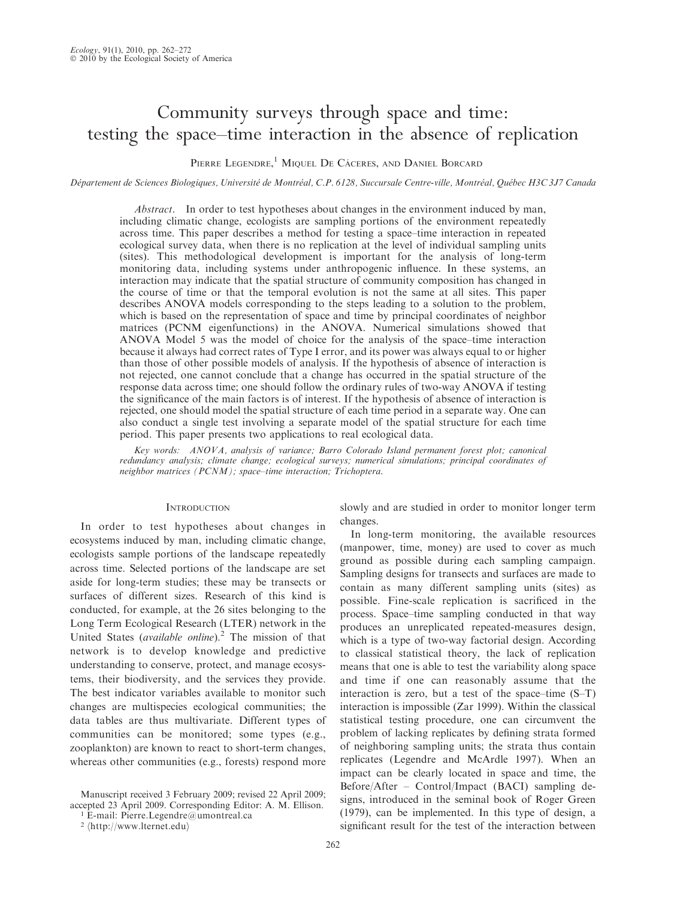# Community surveys through space and time: testing the space–time interaction in the absence of replication

PIERRE LEGENDRE,<sup>1</sup> MIQUEL DE CÁCERES, AND DANIEL BORCARD

Département de Sciences Biologiques, Université de Montréal, C.P. 6128, Succursale Centre-ville, Montréal, Québec H3C 3J7 Canada

Abstract. In order to test hypotheses about changes in the environment induced by man, including climatic change, ecologists are sampling portions of the environment repeatedly across time. This paper describes a method for testing a space–time interaction in repeated ecological survey data, when there is no replication at the level of individual sampling units (sites). This methodological development is important for the analysis of long-term monitoring data, including systems under anthropogenic influence. In these systems, an interaction may indicate that the spatial structure of community composition has changed in the course of time or that the temporal evolution is not the same at all sites. This paper describes ANOVA models corresponding to the steps leading to a solution to the problem, which is based on the representation of space and time by principal coordinates of neighbor matrices (PCNM eigenfunctions) in the ANOVA. Numerical simulations showed that ANOVA Model 5 was the model of choice for the analysis of the space–time interaction because it always had correct rates of Type I error, and its power was always equal to or higher than those of other possible models of analysis. If the hypothesis of absence of interaction is not rejected, one cannot conclude that a change has occurred in the spatial structure of the response data across time; one should follow the ordinary rules of two-way ANOVA if testing the significance of the main factors is of interest. If the hypothesis of absence of interaction is rejected, one should model the spatial structure of each time period in a separate way. One can also conduct a single test involving a separate model of the spatial structure for each time period. This paper presents two applications to real ecological data.

Key words: ANOVA, analysis of variance; Barro Colorado Island permanent forest plot; canonical redundancy analysis; climate change; ecological surveys; numerical simulations; principal coordinates of neighbor matrices (PCNM); space–time interaction; Trichoptera.

#### **INTRODUCTION**

In order to test hypotheses about changes in ecosystems induced by man, including climatic change, ecologists sample portions of the landscape repeatedly across time. Selected portions of the landscape are set aside for long-term studies; these may be transects or surfaces of different sizes. Research of this kind is conducted, for example, at the 26 sites belonging to the Long Term Ecological Research (LTER) network in the United States (available online).<sup>2</sup> The mission of that network is to develop knowledge and predictive understanding to conserve, protect, and manage ecosystems, their biodiversity, and the services they provide. The best indicator variables available to monitor such changes are multispecies ecological communities; the data tables are thus multivariate. Different types of communities can be monitored; some types (e.g., zooplankton) are known to react to short-term changes, whereas other communities (e.g., forests) respond more

1 E-mail: Pierre.Legendre@umontreal.ca

<sup>2</sup>  $\langle$ http://www.lternet.edu $\rangle$ 

slowly and are studied in order to monitor longer term changes.

In long-term monitoring, the available resources (manpower, time, money) are used to cover as much ground as possible during each sampling campaign. Sampling designs for transects and surfaces are made to contain as many different sampling units (sites) as possible. Fine-scale replication is sacrificed in the process. Space–time sampling conducted in that way produces an unreplicated repeated-measures design, which is a type of two-way factorial design. According to classical statistical theory, the lack of replication means that one is able to test the variability along space and time if one can reasonably assume that the interaction is zero, but a test of the space–time (S–T) interaction is impossible (Zar 1999). Within the classical statistical testing procedure, one can circumvent the problem of lacking replicates by defining strata formed of neighboring sampling units; the strata thus contain replicates (Legendre and McArdle 1997). When an impact can be clearly located in space and time, the Before/After – Control/Impact (BACI) sampling designs, introduced in the seminal book of Roger Green (1979), can be implemented. In this type of design, a significant result for the test of the interaction between

Manuscript received 3 February 2009; revised 22 April 2009; accepted 23 April 2009. Corresponding Editor: A. M. Ellison.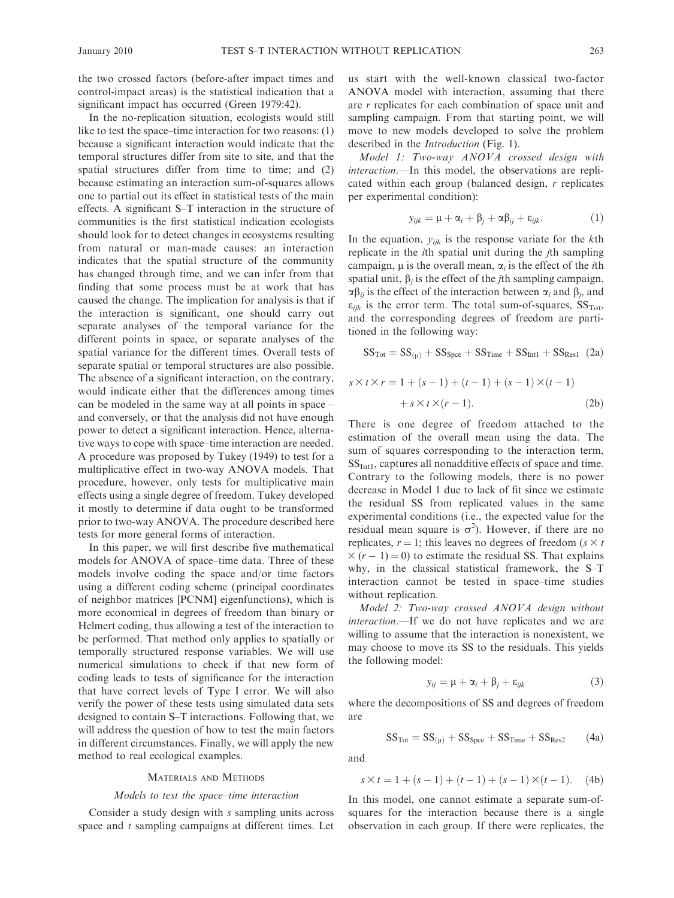the two crossed factors (before-after impact times and control-impact areas) is the statistical indication that a significant impact has occurred (Green 1979:42).

In the no-replication situation, ecologists would still like to test the space–time interaction for two reasons: (1) because a significant interaction would indicate that the temporal structures differ from site to site, and that the spatial structures differ from time to time; and (2) because estimating an interaction sum-of-squares allows one to partial out its effect in statistical tests of the main effects. A significant S–T interaction in the structure of communities is the first statistical indication ecologists should look for to detect changes in ecosystems resulting from natural or man-made causes: an interaction indicates that the spatial structure of the community has changed through time, and we can infer from that finding that some process must be at work that has caused the change. The implication for analysis is that if the interaction is significant, one should carry out separate analyses of the temporal variance for the different points in space, or separate analyses of the spatial variance for the different times. Overall tests of separate spatial or temporal structures are also possible. The absence of a significant interaction, on the contrary, would indicate either that the differences among times can be modeled in the same way at all points in space – and conversely, or that the analysis did not have enough power to detect a significant interaction. Hence, alternative ways to cope with space–time interaction are needed. A procedure was proposed by Tukey (1949) to test for a multiplicative effect in two-way ANOVA models. That procedure, however, only tests for multiplicative main effects using a single degree of freedom. Tukey developed it mostly to determine if data ought to be transformed prior to two-way ANOVA. The procedure described here tests for more general forms of interaction.

In this paper, we will first describe five mathematical models for ANOVA of space–time data. Three of these models involve coding the space and/or time factors using a different coding scheme (principal coordinates of neighbor matrices [PCNM] eigenfunctions), which is more economical in degrees of freedom than binary or Helmert coding, thus allowing a test of the interaction to be performed. That method only applies to spatially or temporally structured response variables. We will use numerical simulations to check if that new form of coding leads to tests of significance for the interaction that have correct levels of Type I error. We will also verify the power of these tests using simulated data sets designed to contain S–T interactions. Following that, we will address the question of how to test the main factors in different circumstances. Finally, we will apply the new method to real ecological examples.

#### MATERIALS AND METHODS

#### Models to test the space–time interaction

Consider a study design with s sampling units across space and  $t$  sampling campaigns at different times. Let us start with the well-known classical two-factor ANOVA model with interaction, assuming that there are r replicates for each combination of space unit and sampling campaign. From that starting point, we will move to new models developed to solve the problem described in the Introduction (Fig. 1).

Model 1: Two-way ANOVA crossed design with interaction.—In this model, the observations are replicated within each group (balanced design, r replicates per experimental condition):

$$
y_{ijk} = \mu + \alpha_i + \beta_j + \alpha \beta_{ij} + \varepsilon_{ijk}.
$$
 (1)

In the equation,  $y_{ijk}$  is the response variate for the kth replicate in the ith spatial unit during the jth sampling campaign,  $\mu$  is the overall mean,  $\alpha_i$  is the effect of the *i*th spatial unit,  $\beta_i$  is the effect of the *j*th sampling campaign,  $\alpha\beta_{ij}$  is the effect of the interaction between  $\alpha_i$  and  $\beta_j$ , and  $\varepsilon_{ijk}$  is the error term. The total sum-of-squares,  $SS_{Tot}$ , and the corresponding degrees of freedom are partitioned in the following way:

$$
SS_{Tot} = SS_{(\mu)} + SS_{Spec} + SS_{Time} + SS_{Int1} + SS_{Res1} (2a)
$$

$$
s \times t \times r = 1 + (s - 1) + (t - 1) + (s - 1) \times (t - 1)
$$
  
+ 
$$
s \times t \times (r - 1).
$$
 (2b)

There is one degree of freedom attached to the estimation of the overall mean using the data. The sum of squares corresponding to the interaction term, SS<sub>Int1</sub>, captures all nonadditive effects of space and time. Contrary to the following models, there is no power decrease in Model 1 due to lack of fit since we estimate the residual SS from replicated values in the same experimental conditions (i.e., the expected value for the residual mean square is  $\sigma^2$ ). However, if there are no replicates,  $r = 1$ ; this leaves no degrees of freedom ( $s \times t$ )  $\times$  (r - 1) = 0) to estimate the residual SS. That explains why, in the classical statistical framework, the S–T interaction cannot be tested in space–time studies without replication.

Model 2: Two-way crossed ANOVA design without interaction.—If we do not have replicates and we are willing to assume that the interaction is nonexistent, we may choose to move its SS to the residuals. This yields the following model:

$$
y_{ij} = \mu + \alpha_i + \beta_j + \varepsilon_{ijk} \tag{3}
$$

where the decompositions of SS and degrees of freedom are

$$
SS_{Tot} = SS_{(\mu)} + SS_{Spec} + SS_{Time} + SS_{Res2}
$$
 (4a)

and

$$
s \times t = 1 + (s - 1) + (t - 1) + (s - 1) \times (t - 1). \tag{4b}
$$

In this model, one cannot estimate a separate sum-ofsquares for the interaction because there is a single observation in each group. If there were replicates, the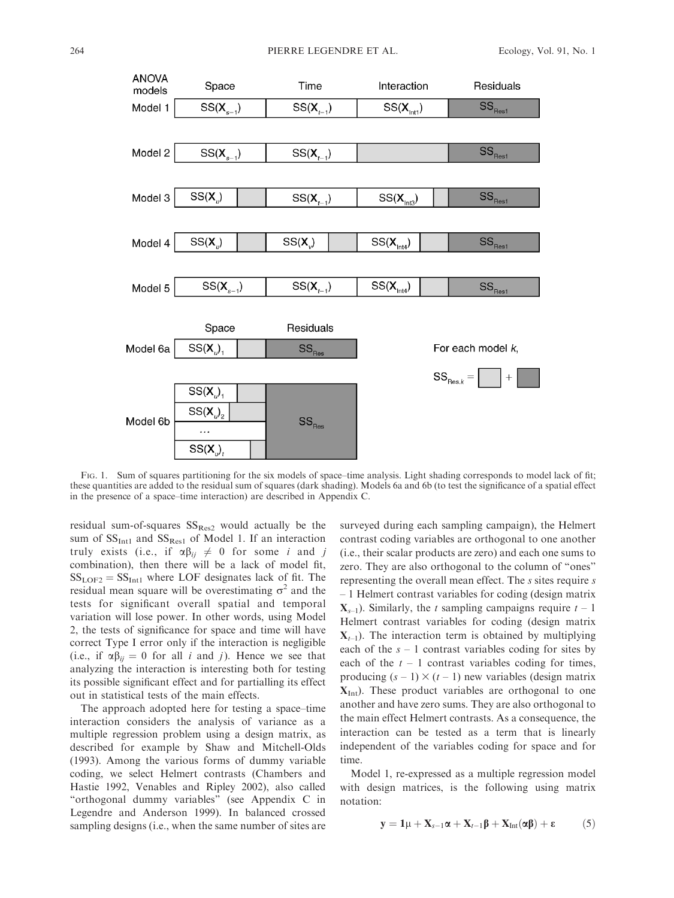

FIG. 1. Sum of squares partitioning for the six models of space–time analysis. Light shading corresponds to model lack of fit; these quantities are added to the residual sum of squares (dark shading). Models 6a and 6b (to test the significance of a spatial effect in the presence of a space–time interaction) are described in Appendix C.

residual sum-of-squares  $SS_{Res2}$  would actually be the sum of  $SS<sub>Int1</sub>$  and  $SS<sub>Res1</sub>$  of Model 1. If an interaction truly exists (i.e., if  $\alpha\beta_{ii} \neq 0$  for some i and j combination), then there will be a lack of model fit,  $SS<sub>LOF2</sub> = SS<sub>Int1</sub>$  where LOF designates lack of fit. The residual mean square will be overestimating  $\sigma^2$  and the tests for significant overall spatial and temporal variation will lose power. In other words, using Model 2, the tests of significance for space and time will have correct Type I error only if the interaction is negligible (i.e., if  $\alpha \beta_{ii} = 0$  for all i and j). Hence we see that analyzing the interaction is interesting both for testing its possible significant effect and for partialling its effect out in statistical tests of the main effects.

The approach adopted here for testing a space–time interaction considers the analysis of variance as a multiple regression problem using a design matrix, as described for example by Shaw and Mitchell-Olds (1993). Among the various forms of dummy variable coding, we select Helmert contrasts (Chambers and Hastie 1992, Venables and Ripley 2002), also called ''orthogonal dummy variables'' (see Appendix C in Legendre and Anderson 1999). In balanced crossed sampling designs (i.e., when the same number of sites are surveyed during each sampling campaign), the Helmert contrast coding variables are orthogonal to one another (i.e., their scalar products are zero) and each one sums to zero. They are also orthogonal to the column of ''ones'' representing the overall mean effect. The s sites require s – 1 Helmert contrast variables for coding (design matrix  $X_{s-1}$ ). Similarly, the t sampling campaigns require  $t-1$ Helmert contrast variables for coding (design matrix  $X_{t-1}$ ). The interaction term is obtained by multiplying each of the  $s - 1$  contrast variables coding for sites by each of the  $t - 1$  contrast variables coding for times, producing  $(s - 1) \times (t - 1)$  new variables (design matrix  $X_{Int}$ ). These product variables are orthogonal to one another and have zero sums. They are also orthogonal to the main effect Helmert contrasts. As a consequence, the interaction can be tested as a term that is linearly independent of the variables coding for space and for time.

Model 1, re-expressed as a multiple regression model with design matrices, is the following using matrix notation:

$$
\mathbf{y} = \mathbf{1}\boldsymbol{\mu} + \mathbf{X}_{s-1}\boldsymbol{\alpha} + \mathbf{X}_{t-1}\boldsymbol{\beta} + \mathbf{X}_{Int}(\boldsymbol{\alpha}\boldsymbol{\beta}) + \boldsymbol{\epsilon} \tag{5}
$$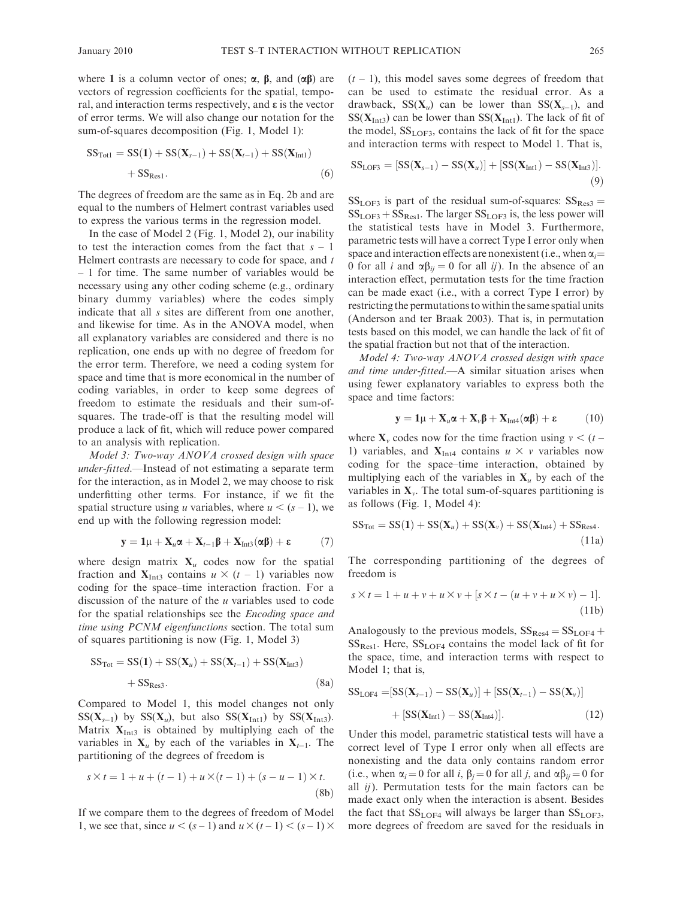where 1 is a column vector of ones;  $\alpha$ ,  $\beta$ , and  $(\alpha\beta)$  are vectors of regression coefficients for the spatial, temporal, and interaction terms respectively, and  $\varepsilon$  is the vector of error terms. We will also change our notation for the sum-of-squares decomposition (Fig. 1, Model 1):

$$
SS_{\text{Tot1}} = SS(1) + SS(\mathbf{X}_{s-1}) + SS(\mathbf{X}_{t-1}) + SS(\mathbf{X}_{\text{Int1}})
$$
  
+ SS<sub>Res1</sub>. (6)

The degrees of freedom are the same as in Eq. 2b and are equal to the numbers of Helmert contrast variables used to express the various terms in the regression model.

In the case of Model 2 (Fig. 1, Model 2), our inability to test the interaction comes from the fact that  $s - 1$ Helmert contrasts are necessary to code for space, and  $t$ – 1 for time. The same number of variables would be necessary using any other coding scheme (e.g., ordinary binary dummy variables) where the codes simply indicate that all s sites are different from one another, and likewise for time. As in the ANOVA model, when all explanatory variables are considered and there is no replication, one ends up with no degree of freedom for the error term. Therefore, we need a coding system for space and time that is more economical in the number of coding variables, in order to keep some degrees of freedom to estimate the residuals and their sum-ofsquares. The trade-off is that the resulting model will produce a lack of fit, which will reduce power compared to an analysis with replication.

Model 3: Two-way ANOVA crossed design with space under-fitted.—Instead of not estimating a separate term for the interaction, as in Model 2, we may choose to risk underfitting other terms. For instance, if we fit the spatial structure using u variables, where  $u < (s - 1)$ , we end up with the following regression model:

$$
y = 1\mu + X_u\alpha + X_{t-1}\beta + X_{Int3}(\alpha\beta) + \epsilon \qquad \quad (7)
$$

where design matrix  $X_u$  codes now for the spatial fraction and  $X_{Int3}$  contains  $u \times (t - 1)$  variables now coding for the space–time interaction fraction. For a discussion of the nature of the u variables used to code for the spatial relationships see the *Encoding space and* time using PCNM eigenfunctions section. The total sum of squares partitioning is now (Fig. 1, Model 3)

$$
SS_{\text{Tot}} = SS(1) + SS(\mathbf{X}_{u}) + SS(\mathbf{X}_{t-1}) + SS(\mathbf{X}_{\text{Int3}})
$$
  
+ SS<sub>Res3</sub>. (8a)

Compared to Model 1, this model changes not only  $SS(X_{s-1})$  by  $SS(X_u)$ , but also  $SS(X_{\text{Int1}})$  by  $SS(X_{\text{Int3}})$ . Matrix  $X_{Int3}$  is obtained by multiplying each of the variables in  $X_u$  by each of the variables in  $X_{t-1}$ . The partitioning of the degrees of freedom is

$$
s \times t = 1 + u + (t - 1) + u \times (t - 1) + (s - u - 1) \times t.
$$
\n(8b)

If we compare them to the degrees of freedom of Model 1, we see that, since  $u < (s - 1)$  and  $u \times (t - 1) < (s - 1) \times$   $(t - 1)$ , this model saves some degrees of freedom that can be used to estimate the residual error. As a drawback,  $SS(X_u)$  can be lower than  $SS(X_{s-1})$ , and  $SS(X<sub>Int3</sub>)$  can be lower than  $SS(X<sub>Int1</sub>)$ . The lack of fit of the model,  $SS<sub>L</sub>$  OF3</sub>, contains the lack of fit for the space and interaction terms with respect to Model 1. That is,

$$
SS_{LOF3} = [SS(\mathbf{X}_{s-1}) - SS(\mathbf{X}_{u})] + [SS(\mathbf{X}_{Int1}) - SS(\mathbf{X}_{Int3})].
$$
\n(9)

 $SS_{LOF3}$  is part of the residual sum-of-squares:  $SS_{Res3}$  =  $SS_{LOF3} + SS_{Res1}$ . The larger  $SS_{LOF3}$  is, the less power will the statistical tests have in Model 3. Furthermore, parametric tests will have a correct Type I error only when space and interaction effects are nonexistent (i.e., when  $\alpha_i =$ 0 for all *i* and  $\alpha\beta_{ii} = 0$  for all *ij*). In the absence of an interaction effect, permutation tests for the time fraction can be made exact (i.e., with a correct Type I error) by restricting the permutations to within the same spatial units (Anderson and ter Braak 2003). That is, in permutation tests based on this model, we can handle the lack of fit of the spatial fraction but not that of the interaction.

Model 4: Two-way ANOVA crossed design with space and time under-fitted.—A similar situation arises when using fewer explanatory variables to express both the space and time factors:

$$
\mathbf{y} = \mathbf{1}\mu + \mathbf{X}_u \alpha + \mathbf{X}_v \boldsymbol{\beta} + \mathbf{X}_{\text{Int4}}(\alpha \boldsymbol{\beta}) + \epsilon \tag{10}
$$

where  $X_v$  codes now for the time fraction using  $v \le (t -$ 1) variables, and  $X_{\text{Int4}}$  contains  $u \times v$  variables now coding for the space–time interaction, obtained by multiplying each of the variables in  $X_u$  by each of the variables in  $X_{\nu}$ . The total sum-of-squares partitioning is as follows (Fig. 1, Model 4):

$$
SS_{\text{Tot}} = SS(1) + SS(\mathbf{X}_{u}) + SS(\mathbf{X}_{v}) + SS(\mathbf{X}_{\text{Int4}}) + SS_{\text{Res4}}.
$$
\n(11a)

The corresponding partitioning of the degrees of freedom is

$$
s \times t = 1 + u + v + u \times v + [s \times t - (u + v + u \times v) - 1].
$$
\n(11b)

Analogously to the previous models,  $SS_{\text{Res}4} = SS_{\text{LOF}4} +$  $SS_{\text{Res1}}$ . Here,  $SS_{\text{LOF4}}$  contains the model lack of fit for the space, time, and interaction terms with respect to Model 1; that is,

$$
SSLOF4 = [SS(\mathbf{X}_{s-1}) - SS(\mathbf{X}_{u})] + [SS(\mathbf{X}_{t-1}) - SS(\mathbf{X}_{v})]
$$
  
+ [SS(\mathbf{X}\_{\text{Int1}}) - SS(\mathbf{X}\_{\text{Int4}})]. (12)

Under this model, parametric statistical tests will have a correct level of Type I error only when all effects are nonexisting and the data only contains random error (i.e., when  $\alpha_i = 0$  for all i,  $\beta_i = 0$  for all j, and  $\alpha \beta_{ii} = 0$  for all  $ij$ ). Permutation tests for the main factors can be made exact only when the interaction is absent. Besides the fact that  $SS_{LOF4}$  will always be larger than  $SS_{LOF3}$ , more degrees of freedom are saved for the residuals in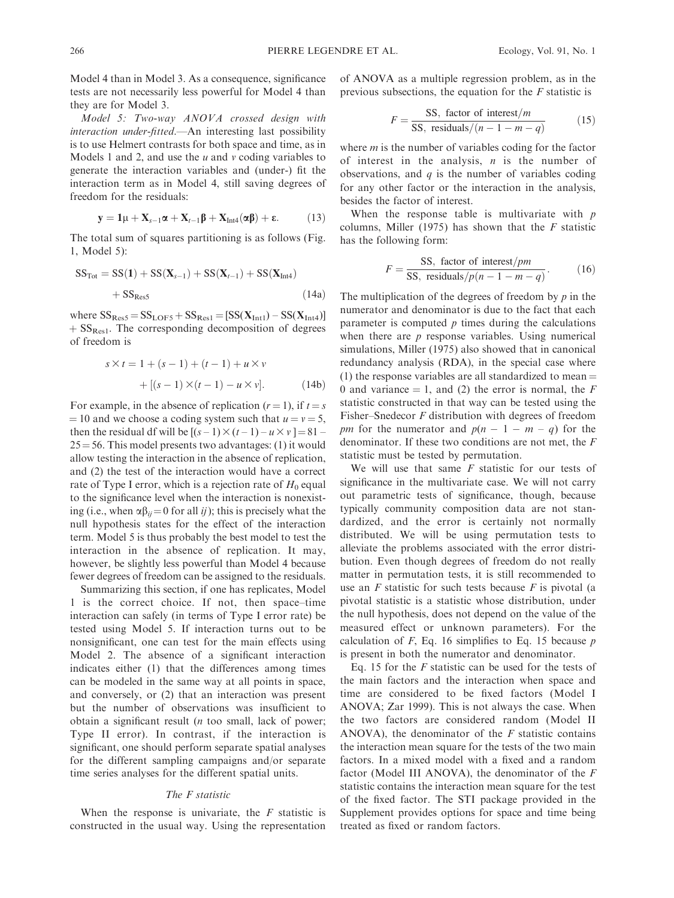Model 4 than in Model 3. As a consequence, significance tests are not necessarily less powerful for Model 4 than they are for Model 3.

Model 5: Two-way ANOVA crossed design with interaction under-fitted.—An interesting last possibility is to use Helmert contrasts for both space and time, as in Models 1 and 2, and use the  $u$  and  $v$  coding variables to generate the interaction variables and (under-) fit the interaction term as in Model 4, still saving degrees of freedom for the residuals:

$$
\mathbf{y} = \mathbf{1}\boldsymbol{\mu} + \mathbf{X}_{s-1}\boldsymbol{\alpha} + \mathbf{X}_{t-1}\boldsymbol{\beta} + \mathbf{X}_{\text{Int4}}(\boldsymbol{\alpha}\boldsymbol{\beta}) + \boldsymbol{\epsilon}.
$$
 (13)

The total sum of squares partitioning is as follows (Fig. 1, Model 5):

$$
SS_{Tot} = SS(1) + SS(\mathbf{X}_{s-1}) + SS(\mathbf{X}_{t-1}) + SS(\mathbf{X}_{Int4})
$$

$$
+ SS_{Res5}
$$
(14a)

where  $SS_{\text{Res5}} = SS_{\text{LOF5}} + SS_{\text{Res1}} = [SS(X_{\text{Int1}}) - SS(X_{\text{Int4}})]$  $+$  SS<sub>Res1</sub>. The corresponding decomposition of degrees of freedom is

$$
s \times t = 1 + (s - 1) + (t - 1) + u \times v
$$
  
+ 
$$
[(s - 1) \times (t - 1) - u \times v].
$$
 (14b)

For example, in the absence of replication  $(r = 1)$ , if  $t = s$  $= 10$  and we choose a coding system such that  $u = v = 5$ , then the residual df will be  $[(s-1)\times(t-1) - u\times v] = 81 25 = 56$ . This model presents two advantages: (1) it would allow testing the interaction in the absence of replication, and (2) the test of the interaction would have a correct rate of Type I error, which is a rejection rate of  $H_0$  equal to the significance level when the interaction is nonexisting (i.e., when  $\alpha\beta_{ii}=0$  for all *ij*); this is precisely what the null hypothesis states for the effect of the interaction term. Model 5 is thus probably the best model to test the interaction in the absence of replication. It may, however, be slightly less powerful than Model 4 because fewer degrees of freedom can be assigned to the residuals.

Summarizing this section, if one has replicates, Model 1 is the correct choice. If not, then space–time interaction can safely (in terms of Type I error rate) be tested using Model 5. If interaction turns out to be nonsignificant, one can test for the main effects using Model 2. The absence of a significant interaction indicates either (1) that the differences among times can be modeled in the same way at all points in space, and conversely, or (2) that an interaction was present but the number of observations was insufficient to obtain a significant result (n too small, lack of power; Type II error). In contrast, if the interaction is significant, one should perform separate spatial analyses for the different sampling campaigns and/or separate time series analyses for the different spatial units.

# The F statistic

When the response is univariate, the  $F$  statistic is constructed in the usual way. Using the representation of ANOVA as a multiple regression problem, as in the previous subsections, the equation for the  $F$  statistic is

$$
F = \frac{\text{SS, factor of interest}/m}{\text{SS, residuals}/(n-1-m-q)}
$$
(15)

where  $m$  is the number of variables coding for the factor of interest in the analysis,  $n$  is the number of observations, and  $q$  is the number of variables coding for any other factor or the interaction in the analysis, besides the factor of interest.

When the response table is multivariate with  $p$ columns, Miller (1975) has shown that the  $F$  statistic has the following form:

$$
F = \frac{\text{SS, factor of interest}/pm}{\text{SS, residuals}/p(n-1-m-q)}.
$$
 (16)

The multiplication of the degrees of freedom by  $p$  in the numerator and denominator is due to the fact that each parameter is computed  $p$  times during the calculations when there are  $p$  response variables. Using numerical simulations, Miller (1975) also showed that in canonical redundancy analysis (RDA), in the special case where (1) the response variables are all standardized to mean  $=$ 0 and variance  $= 1$ , and (2) the error is normal, the F statistic constructed in that way can be tested using the Fisher–Snedecor F distribution with degrees of freedom pm for the numerator and  $p(n-1-m-q)$  for the denominator. If these two conditions are not met, the  $F$ statistic must be tested by permutation.

We will use that same  $F$  statistic for our tests of significance in the multivariate case. We will not carry out parametric tests of significance, though, because typically community composition data are not standardized, and the error is certainly not normally distributed. We will be using permutation tests to alleviate the problems associated with the error distribution. Even though degrees of freedom do not really matter in permutation tests, it is still recommended to use an  $F$  statistic for such tests because  $F$  is pivotal (a pivotal statistic is a statistic whose distribution, under the null hypothesis, does not depend on the value of the measured effect or unknown parameters). For the calculation of  $F$ , Eq. 16 simplifies to Eq. 15 because  $p$ is present in both the numerator and denominator.

Eq. 15 for the  $F$  statistic can be used for the tests of the main factors and the interaction when space and time are considered to be fixed factors (Model I ANOVA; Zar 1999). This is not always the case. When the two factors are considered random (Model II ANOVA), the denominator of the  $F$  statistic contains the interaction mean square for the tests of the two main factors. In a mixed model with a fixed and a random factor (Model III ANOVA), the denominator of the  $F$ statistic contains the interaction mean square for the test of the fixed factor. The STI package provided in the Supplement provides options for space and time being treated as fixed or random factors.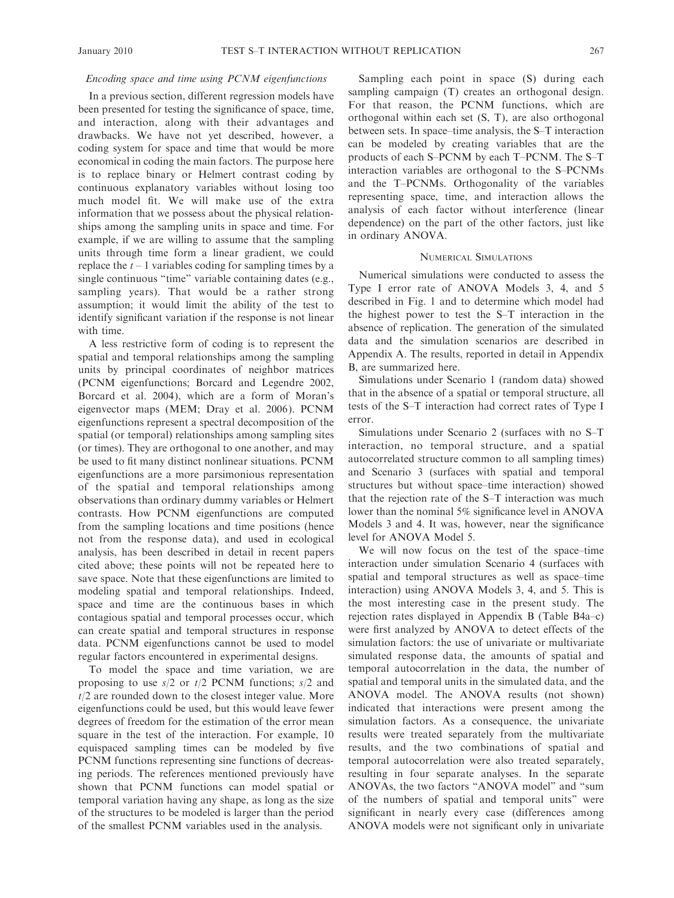#### Encoding space and time using PCNM eigenfunctions

In a previous section, different regression models have been presented for testing the significance of space, time, and interaction, along with their advantages and drawbacks. We have not yet described, however, a coding system for space and time that would be more economical in coding the main factors. The purpose here is to replace binary or Helmert contrast coding by continuous explanatory variables without losing too much model fit. We will make use of the extra information that we possess about the physical relationships among the sampling units in space and time. For example, if we are willing to assume that the sampling units through time form a linear gradient, we could replace the  $t - 1$  variables coding for sampling times by a single continuous "time" variable containing dates (e.g., sampling years). That would be a rather strong assumption; it would limit the ability of the test to identify significant variation if the response is not linear with time.

A less restrictive form of coding is to represent the spatial and temporal relationships among the sampling units by principal coordinates of neighbor matrices (PCNM eigenfunctions; Borcard and Legendre 2002, Borcard et al. 2004), which are a form of Moran's eigenvector maps (MEM; Dray et al. 2006). PCNM eigenfunctions represent a spectral decomposition of the spatial (or temporal) relationships among sampling sites (or times). They are orthogonal to one another, and may be used to fit many distinct nonlinear situations. PCNM eigenfunctions are a more parsimonious representation of the spatial and temporal relationships among observations than ordinary dummy variables or Helmert contrasts. How PCNM eigenfunctions are computed from the sampling locations and time positions (hence not from the response data), and used in ecological analysis, has been described in detail in recent papers cited above; these points will not be repeated here to save space. Note that these eigenfunctions are limited to modeling spatial and temporal relationships. Indeed, space and time are the continuous bases in which contagious spatial and temporal processes occur, which can create spatial and temporal structures in response data. PCNM eigenfunctions cannot be used to model regular factors encountered in experimental designs.

To model the space and time variation, we are proposing to use  $s/2$  or  $t/2$  PCNM functions;  $s/2$  and  $t/2$  are rounded down to the closest integer value. More eigenfunctions could be used, but this would leave fewer degrees of freedom for the estimation of the error mean square in the test of the interaction. For example, 10 equispaced sampling times can be modeled by five PCNM functions representing sine functions of decreasing periods. The references mentioned previously have shown that PCNM functions can model spatial or temporal variation having any shape, as long as the size of the structures to be modeled is larger than the period of the smallest PCNM variables used in the analysis.

Sampling each point in space (S) during each sampling campaign (T) creates an orthogonal design. For that reason, the PCNM functions, which are orthogonal within each set (S, T), are also orthogonal between sets. In space–time analysis, the S–T interaction can be modeled by creating variables that are the products of each S–PCNM by each T–PCNM. The S–T interaction variables are orthogonal to the S–PCNMs and the T–PCNMs. Orthogonality of the variables representing space, time, and interaction allows the analysis of each factor without interference (linear dependence) on the part of the other factors, just like in ordinary ANOVA.

# NUMERICAL SIMULATIONS

Numerical simulations were conducted to assess the Type I error rate of ANOVA Models 3, 4, and 5 described in Fig. 1 and to determine which model had the highest power to test the S–T interaction in the absence of replication. The generation of the simulated data and the simulation scenarios are described in Appendix A. The results, reported in detail in Appendix B, are summarized here.

Simulations under Scenario 1 (random data) showed that in the absence of a spatial or temporal structure, all tests of the S–T interaction had correct rates of Type I error.

Simulations under Scenario 2 (surfaces with no S–T interaction, no temporal structure, and a spatial autocorrelated structure common to all sampling times) and Scenario 3 (surfaces with spatial and temporal structures but without space–time interaction) showed that the rejection rate of the S–T interaction was much lower than the nominal 5% significance level in ANOVA Models 3 and 4. It was, however, near the significance level for ANOVA Model 5.

We will now focus on the test of the space–time interaction under simulation Scenario 4 (surfaces with spatial and temporal structures as well as space–time interaction) using ANOVA Models 3, 4, and 5. This is the most interesting case in the present study. The rejection rates displayed in Appendix B (Table B4a–c) were first analyzed by ANOVA to detect effects of the simulation factors: the use of univariate or multivariate simulated response data, the amounts of spatial and temporal autocorrelation in the data, the number of spatial and temporal units in the simulated data, and the ANOVA model. The ANOVA results (not shown) indicated that interactions were present among the simulation factors. As a consequence, the univariate results were treated separately from the multivariate results, and the two combinations of spatial and temporal autocorrelation were also treated separately, resulting in four separate analyses. In the separate ANOVAs, the two factors ''ANOVA model'' and ''sum of the numbers of spatial and temporal units'' were significant in nearly every case (differences among ANOVA models were not significant only in univariate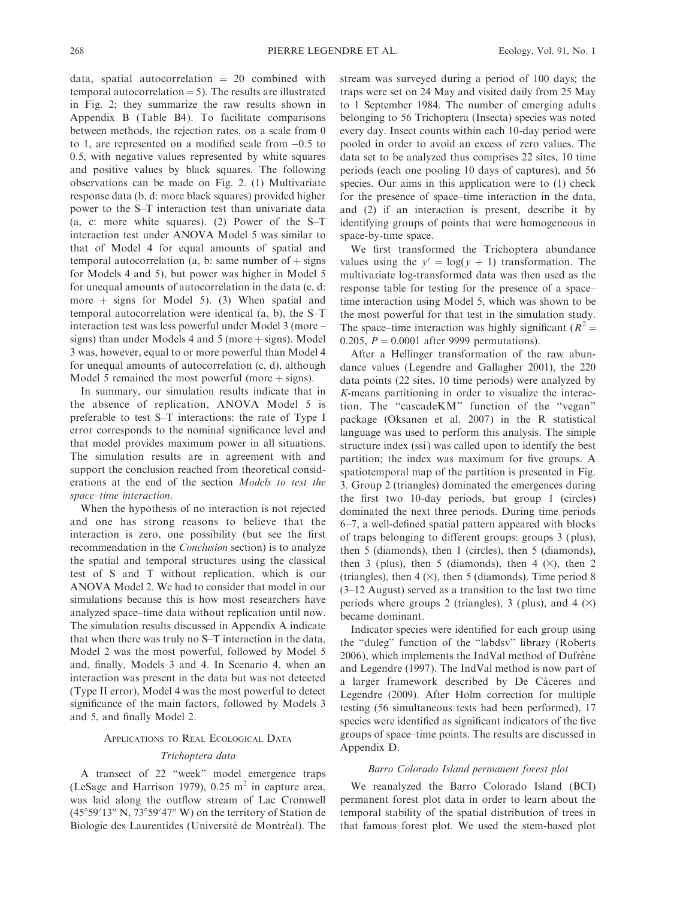data, spatial autocorrelation  $= 20$  combined with temporal autocorrelation  $= 5$ ). The results are illustrated in Fig. 2; they summarize the raw results shown in Appendix B (Table B4). To facilitate comparisons between methods, the rejection rates, on a scale from 0 to 1, are represented on a modified scale from -0.5 to 0.5, with negative values represented by white squares and positive values by black squares. The following observations can be made on Fig. 2. (1) Multivariate response data (b, d: more black squares) provided higher power to the S–T interaction test than univariate data (a, c: more white squares). (2) Power of the S–T interaction test under ANOVA Model 5 was similar to that of Model 4 for equal amounts of spatial and temporal autocorrelation (a, b: same number of  $+$  signs for Models 4 and 5), but power was higher in Model 5 for unequal amounts of autocorrelation in the data (c, d: more  $+$  signs for Model 5). (3) When spatial and temporal autocorrelation were identical (a, b), the S–T interaction test was less powerful under Model 3 (more – signs) than under Models 4 and 5 (more  $+$  signs). Model 3 was, however, equal to or more powerful than Model 4 for unequal amounts of autocorrelation (c, d), although Model 5 remained the most powerful (more  $+$  signs).

In summary, our simulation results indicate that in the absence of replication, ANOVA Model 5 is preferable to test S–T interactions: the rate of Type I error corresponds to the nominal significance level and that model provides maximum power in all situations. The simulation results are in agreement with and support the conclusion reached from theoretical considerations at the end of the section Models to test the space–time interaction.

When the hypothesis of no interaction is not rejected and one has strong reasons to believe that the interaction is zero, one possibility (but see the first recommendation in the Conclusion section) is to analyze the spatial and temporal structures using the classical test of S and T without replication, which is our ANOVA Model 2. We had to consider that model in our simulations because this is how most researchers have analyzed space–time data without replication until now. The simulation results discussed in Appendix A indicate that when there was truly no S–T interaction in the data, Model 2 was the most powerful, followed by Model 5 and, finally, Models 3 and 4. In Scenario 4, when an interaction was present in the data but was not detected (Type II error), Model 4 was the most powerful to detect significance of the main factors, followed by Models 3 and 5, and finally Model 2.

#### APPLICATIONS TO REAL ECOLOGICAL DATA

#### Trichoptera data

A transect of 22 ''week'' model emergence traps (LeSage and Harrison 1979),  $0.25 \text{ m}^2$  in capture area, was laid along the outflow stream of Lac Cromwell  $(45^{\circ}59'13''$  N,  $73^{\circ}59'47''$  W) on the territory of Station de Biologie des Laurentides (Université de Montréal). The

stream was surveyed during a period of 100 days; the traps were set on 24 May and visited daily from 25 May to 1 September 1984. The number of emerging adults belonging to 56 Trichoptera (Insecta) species was noted every day. Insect counts within each 10-day period were pooled in order to avoid an excess of zero values. The data set to be analyzed thus comprises 22 sites, 10 time periods (each one pooling 10 days of captures), and 56 species. Our aims in this application were to (1) check for the presence of space–time interaction in the data, and (2) if an interaction is present, describe it by identifying groups of points that were homogeneous in space-by-time space.

We first transformed the Trichoptera abundance values using the  $y' = \log(y + 1)$  transformation. The multivariate log-transformed data was then used as the response table for testing for the presence of a space– time interaction using Model 5, which was shown to be the most powerful for that test in the simulation study. The space–time interaction was highly significant ( $R^2$  = 0.205,  $P = 0.0001$  after 9999 permutations).

After a Hellinger transformation of the raw abundance values (Legendre and Gallagher 2001), the 220 data points (22 sites, 10 time periods) were analyzed by K-means partitioning in order to visualize the interaction. The ''cascadeKM'' function of the ''vegan'' package (Oksanen et al. 2007) in the R statistical language was used to perform this analysis. The simple structure index (ssi) was called upon to identify the best partition; the index was maximum for five groups. A spatiotemporal map of the partition is presented in Fig. 3. Group 2 (triangles) dominated the emergences during the first two 10-day periods, but group 1 (circles) dominated the next three periods. During time periods 6–7, a well-defined spatial pattern appeared with blocks of traps belonging to different groups: groups 3 (plus), then 5 (diamonds), then 1 (circles), then 5 (diamonds), then 3 (plus), then 5 (diamonds), then 4  $(X)$ , then 2 (triangles), then  $4 \times$ ), then 5 (diamonds). Time period 8 (3–12 August) served as a transition to the last two time periods where groups 2 (triangles), 3 (plus), and 4  $(X)$ became dominant.

Indicator species were identified for each group using the ''duleg'' function of the ''labdsv'' library (Roberts 2006), which implements the IndVal method of Dufrêne and Legendre (1997). The IndVal method is now part of a larger framework described by De Cáceres and Legendre (2009). After Holm correction for multiple testing (56 simultaneous tests had been performed), 17 species were identified as significant indicators of the five groups of space–time points. The results are discussed in Appendix D.

#### Barro Colorado Island permanent forest plot

We reanalyzed the Barro Colorado Island (BCI) permanent forest plot data in order to learn about the temporal stability of the spatial distribution of trees in that famous forest plot. We used the stem-based plot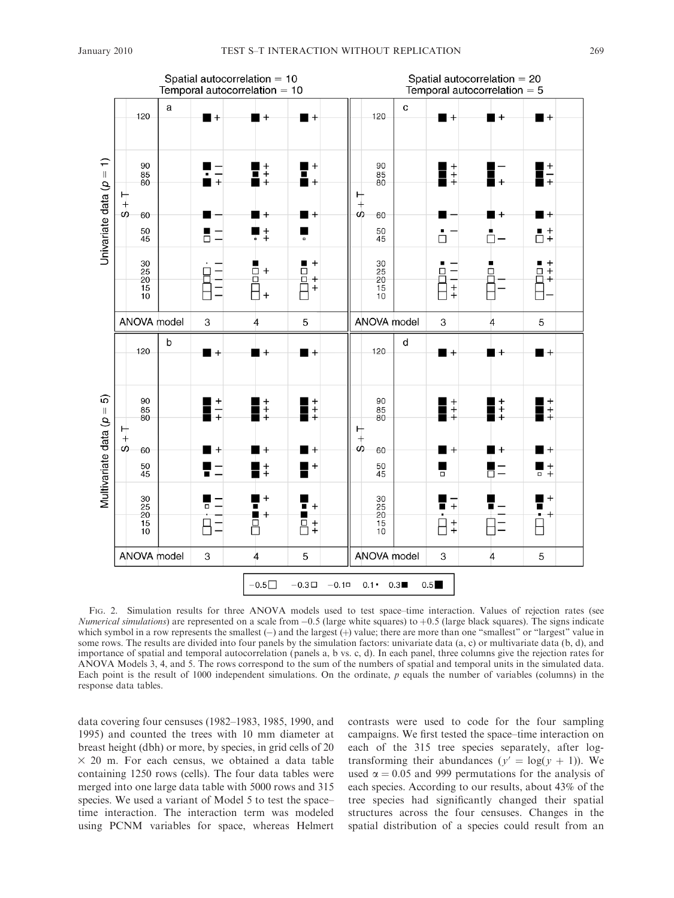

FIG. 2. Simulation results for three ANOVA models used to test space–time interaction. Values of rejection rates (see Numerical simulations) are represented on a scale from  $-0.5$  (large white squares) to  $+0.5$  (large black squares). The signs indicate which symbol in a row represents the smallest  $(-)$  and the largest  $(+)$  value; there are more than one "smallest" or "largest" value in some rows. The results are divided into four panels by the simulation factors: univariate data (a, c) or multivariate data (b, d), and importance of spatial and temporal autocorrelation (panels a, b vs. c, d). In each panel, three columns give the rejection rates for ANOVA Models 3, 4, and 5. The rows correspond to the sum of the numbers of spatial and temporal units in the simulated data. Each point is the result of 1000 independent simulations. On the ordinate,  $p$  equals the number of variables (columns) in the response data tables.

data covering four censuses (1982–1983, 1985, 1990, and 1995) and counted the trees with 10 mm diameter at breast height (dbh) or more, by species, in grid cells of 20  $\times$  20 m. For each census, we obtained a data table containing 1250 rows (cells). The four data tables were merged into one large data table with 5000 rows and 315 species. We used a variant of Model 5 to test the space– time interaction. The interaction term was modeled using PCNM variables for space, whereas Helmert contrasts were used to code for the four sampling campaigns. We first tested the space–time interaction on each of the 315 tree species separately, after logtransforming their abundances ( $y' = \log(y + 1)$ ). We used  $\alpha = 0.05$  and 999 permutations for the analysis of each species. According to our results, about 43% of the tree species had significantly changed their spatial structures across the four censuses. Changes in the spatial distribution of a species could result from an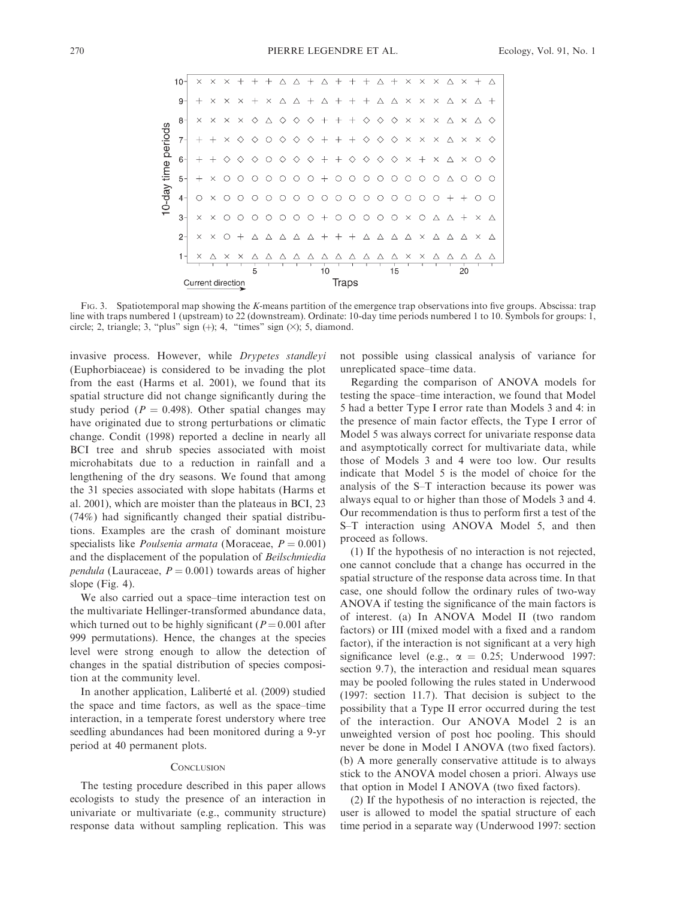

FIG. 3. Spatiotemporal map showing the K-means partition of the emergence trap observations into five groups. Abscissa: trap line with traps numbered 1 (upstream) to 22 (downstream). Ordinate: 10-day time periods numbered 1 to 10. Symbols for groups: 1, circle; 2, triangle; 3, "plus" sign  $(+)$ ; 4, "times" sign  $(X)$ ; 5, diamond.

invasive process. However, while Drypetes standleyi (Euphorbiaceae) is considered to be invading the plot from the east (Harms et al. 2001), we found that its spatial structure did not change significantly during the study period ( $P = 0.498$ ). Other spatial changes may have originated due to strong perturbations or climatic change. Condit (1998) reported a decline in nearly all BCI tree and shrub species associated with moist microhabitats due to a reduction in rainfall and a lengthening of the dry seasons. We found that among the 31 species associated with slope habitats (Harms et al. 2001), which are moister than the plateaus in BCI, 23 (74%) had significantly changed their spatial distributions. Examples are the crash of dominant moisture specialists like *Poulsenia armata* (Moraceae,  $P = 0.001$ ) and the displacement of the population of Beilschmiedia *pendula* (Lauraceae,  $P = 0.001$ ) towards areas of higher slope (Fig. 4).

We also carried out a space–time interaction test on the multivariate Hellinger-transformed abundance data, which turned out to be highly significant ( $P = 0.001$  after 999 permutations). Hence, the changes at the species level were strong enough to allow the detection of changes in the spatial distribution of species composition at the community level.

In another application, Laliberté et al. (2009) studied the space and time factors, as well as the space–time interaction, in a temperate forest understory where tree seedling abundances had been monitored during a 9-yr period at 40 permanent plots.

# **CONCLUSION**

The testing procedure described in this paper allows ecologists to study the presence of an interaction in univariate or multivariate (e.g., community structure) response data without sampling replication. This was not possible using classical analysis of variance for unreplicated space–time data.

Regarding the comparison of ANOVA models for testing the space–time interaction, we found that Model 5 had a better Type I error rate than Models 3 and 4: in the presence of main factor effects, the Type I error of Model 5 was always correct for univariate response data and asymptotically correct for multivariate data, while those of Models 3 and 4 were too low. Our results indicate that Model 5 is the model of choice for the analysis of the S–T interaction because its power was always equal to or higher than those of Models 3 and 4. Our recommendation is thus to perform first a test of the S–T interaction using ANOVA Model 5, and then proceed as follows.

(1) If the hypothesis of no interaction is not rejected, one cannot conclude that a change has occurred in the spatial structure of the response data across time. In that case, one should follow the ordinary rules of two-way ANOVA if testing the significance of the main factors is of interest. (a) In ANOVA Model II (two random factors) or III (mixed model with a fixed and a random factor), if the interaction is not significant at a very high significance level (e.g.,  $\alpha = 0.25$ ; Underwood 1997: section 9.7), the interaction and residual mean squares may be pooled following the rules stated in Underwood (1997: section 11.7). That decision is subject to the possibility that a Type II error occurred during the test of the interaction. Our ANOVA Model 2 is an unweighted version of post hoc pooling. This should never be done in Model I ANOVA (two fixed factors). (b) A more generally conservative attitude is to always stick to the ANOVA model chosen a priori. Always use that option in Model I ANOVA (two fixed factors).

(2) If the hypothesis of no interaction is rejected, the user is allowed to model the spatial structure of each time period in a separate way (Underwood 1997: section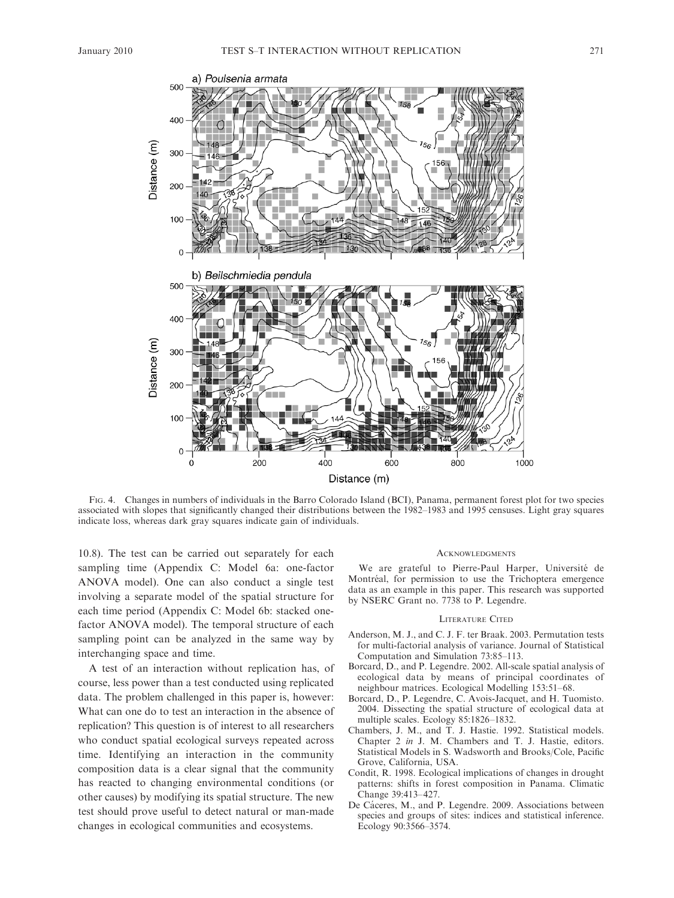

FIG. 4. Changes in numbers of individuals in the Barro Colorado Island (BCI), Panama, permanent forest plot for two species associated with slopes that significantly changed their distributions between the 1982–1983 and 1995 censuses. Light gray squares indicate loss, whereas dark gray squares indicate gain of individuals.

10.8). The test can be carried out separately for each sampling time (Appendix C: Model 6a: one-factor ANOVA model). One can also conduct a single test involving a separate model of the spatial structure for each time period (Appendix C: Model 6b: stacked onefactor ANOVA model). The temporal structure of each sampling point can be analyzed in the same way by interchanging space and time.

A test of an interaction without replication has, of course, less power than a test conducted using replicated data. The problem challenged in this paper is, however: What can one do to test an interaction in the absence of replication? This question is of interest to all researchers who conduct spatial ecological surveys repeated across time. Identifying an interaction in the community composition data is a clear signal that the community has reacted to changing environmental conditions (or other causes) by modifying its spatial structure. The new test should prove useful to detect natural or man-made changes in ecological communities and ecosystems.

#### **ACKNOWLEDGMENTS**

We are grateful to Pierre-Paul Harper, Université de Montréal, for permission to use the Trichoptera emergence data as an example in this paper. This research was supported by NSERC Grant no. 7738 to P. Legendre.

#### LITERATURE CITED

- Anderson, M. J., and C. J. F. ter Braak. 2003. Permutation tests for multi-factorial analysis of variance. Journal of Statistical Computation and Simulation 73:85–113.
- Borcard, D., and P. Legendre. 2002. All-scale spatial analysis of ecological data by means of principal coordinates of neighbour matrices. Ecological Modelling 153:51–68.
- Borcard, D., P. Legendre, C. Avois-Jacquet, and H. Tuomisto. 2004. Dissecting the spatial structure of ecological data at multiple scales. Ecology 85:1826–1832.
- Chambers, J. M., and T. J. Hastie. 1992. Statistical models. Chapter 2 in J. M. Chambers and T. J. Hastie, editors. Statistical Models in S. Wadsworth and Brooks/Cole, Pacific Grove, California, USA.
- Condit, R. 1998. Ecological implications of changes in drought patterns: shifts in forest composition in Panama. Climatic Change 39:413–427.
- De Cáceres, M., and P. Legendre. 2009. Associations between species and groups of sites: indices and statistical inference. Ecology 90:3566–3574.